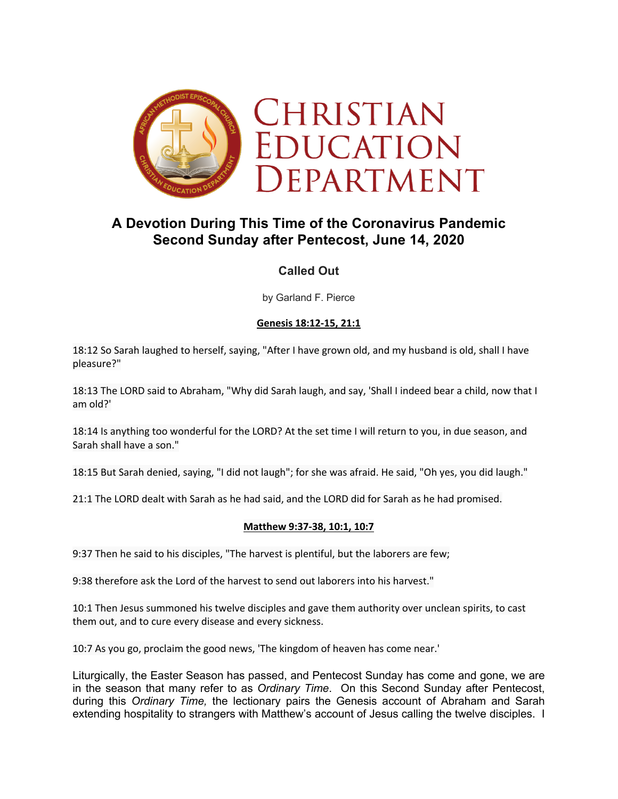

# **A Devotion During This Time of the Coronavirus Pandemic Second Sunday after Pentecost, June 14, 2020**

# **Called Out**

by Garland F. Pierce

## **Genesis 18:12-15, 21:1**

18:12 So Sarah laughed to herself, saying, "After I have grown old, and my husband is old, shall I have pleasure?"

18:13 The LORD said to Abraham, "Why did Sarah laugh, and say, 'Shall I indeed bear a child, now that I am old?'

18:14 Is anything too wonderful for the LORD? At the set time I will return to you, in due season, and Sarah shall have a son."

18:15 But Sarah denied, saying, "I did not laugh"; for she was afraid. He said, "Oh yes, you did laugh."

21:1 The LORD dealt with Sarah as he had said, and the LORD did for Sarah as he had promised.

## **Matthew 9:37-38, 10:1, 10:7**

9:37 Then he said to his disciples, "The harvest is plentiful, but the laborers are few;

9:38 therefore ask the Lord of the harvest to send out laborers into his harvest."

10:1 Then Jesus summoned his twelve disciples and gave them authority over unclean spirits, to cast them out, and to cure every disease and every sickness.

10:7 As you go, proclaim the good news, 'The kingdom of heaven has come near.'

Liturgically, the Easter Season has passed, and Pentecost Sunday has come and gone, we are in the season that many refer to as *Ordinary Time*. On this Second Sunday after Pentecost, during this *Ordinary Time,* the lectionary pairs the Genesis account of Abraham and Sarah extending hospitality to strangers with Matthew's account of Jesus calling the twelve disciples. I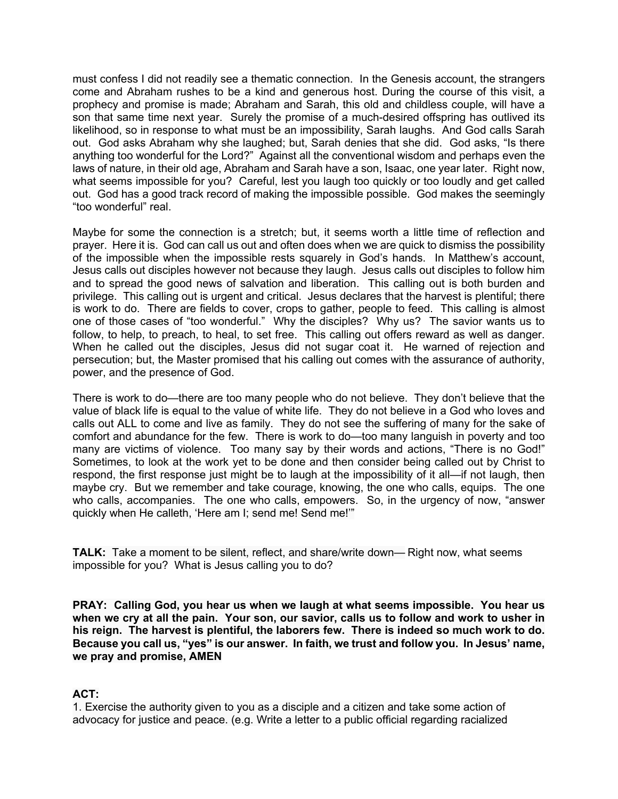must confess I did not readily see a thematic connection. In the Genesis account, the strangers come and Abraham rushes to be a kind and generous host. During the course of this visit, a prophecy and promise is made; Abraham and Sarah, this old and childless couple, will have a son that same time next year. Surely the promise of a much-desired offspring has outlived its likelihood, so in response to what must be an impossibility, Sarah laughs. And God calls Sarah out. God asks Abraham why she laughed; but, Sarah denies that she did. God asks, "Is there anything too wonderful for the Lord?" Against all the conventional wisdom and perhaps even the laws of nature, in their old age, Abraham and Sarah have a son, Isaac, one year later. Right now, what seems impossible for you? Careful, lest you laugh too quickly or too loudly and get called out. God has a good track record of making the impossible possible. God makes the seemingly "too wonderful" real.

Maybe for some the connection is a stretch; but, it seems worth a little time of reflection and prayer. Here it is. God can call us out and often does when we are quick to dismiss the possibility of the impossible when the impossible rests squarely in God's hands. In Matthew's account, Jesus calls out disciples however not because they laugh. Jesus calls out disciples to follow him and to spread the good news of salvation and liberation. This calling out is both burden and privilege. This calling out is urgent and critical. Jesus declares that the harvest is plentiful; there is work to do. There are fields to cover, crops to gather, people to feed. This calling is almost one of those cases of "too wonderful." Why the disciples? Why us? The savior wants us to follow, to help, to preach, to heal, to set free. This calling out offers reward as well as danger. When he called out the disciples, Jesus did not sugar coat it. He warned of rejection and persecution; but, the Master promised that his calling out comes with the assurance of authority, power, and the presence of God.

There is work to do—there are too many people who do not believe. They don't believe that the value of black life is equal to the value of white life. They do not believe in a God who loves and calls out ALL to come and live as family. They do not see the suffering of many for the sake of comfort and abundance for the few. There is work to do—too many languish in poverty and too many are victims of violence. Too many say by their words and actions, "There is no God!" Sometimes, to look at the work yet to be done and then consider being called out by Christ to respond, the first response just might be to laugh at the impossibility of it all—if not laugh, then maybe cry. But we remember and take courage, knowing, the one who calls, equips. The one who calls, accompanies. The one who calls, empowers. So, in the urgency of now, "answer quickly when He calleth, 'Here am I; send me! Send me!'"

**TALK:** Take a moment to be silent, reflect, and share/write down— Right now, what seems impossible for you? What is Jesus calling you to do?

**PRAY: Calling God, you hear us when we laugh at what seems impossible. You hear us when we cry at all the pain. Your son, our savior, calls us to follow and work to usher in his reign. The harvest is plentiful, the laborers few. There is indeed so much work to do. Because you call us, "yes" is our answer. In faith, we trust and follow you. In Jesus' name, we pray and promise, AMEN**

## **ACT:**

1. Exercise the authority given to you as a disciple and a citizen and take some action of advocacy for justice and peace. (e.g. Write a letter to a public official regarding racialized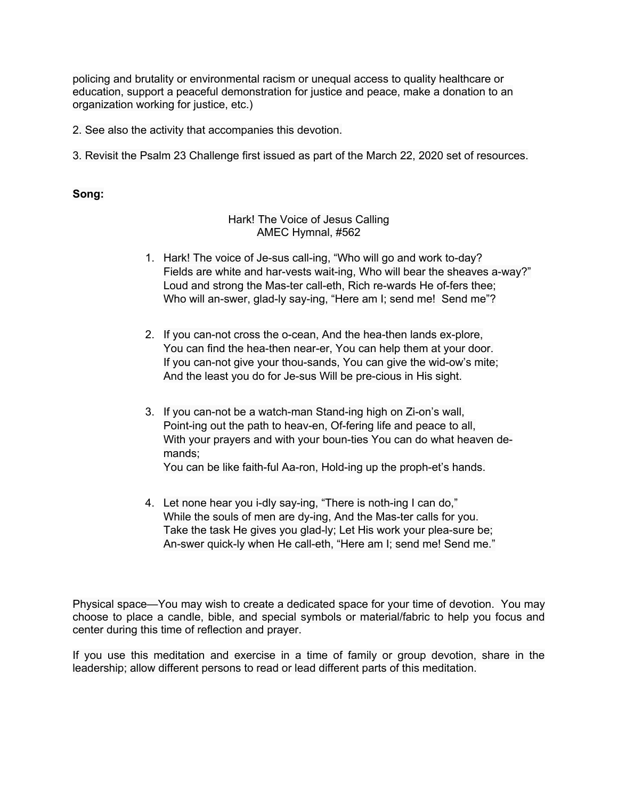policing and brutality or environmental racism or unequal access to quality healthcare or education, support a peaceful demonstration for justice and peace, make a donation to an organization working for justice, etc.)

2. See also the activity that accompanies this devotion.

3. Revisit the Psalm 23 Challenge first issued as part of the March 22, 2020 set of resources.

#### **Song:**

#### Hark! The Voice of Jesus Calling AMEC Hymnal, #562

- 1. Hark! The voice of Je-sus call-ing, "Who will go and work to-day? Fields are white and har-vests wait-ing, Who will bear the sheaves a-way?" Loud and strong the Mas-ter call-eth, Rich re-wards He of-fers thee; Who will an-swer, glad-ly say-ing, "Here am I; send me! Send me"?
- 2. If you can-not cross the o-cean, And the hea-then lands ex-plore, You can find the hea-then near-er, You can help them at your door. If you can-not give your thou-sands, You can give the wid-ow's mite; And the least you do for Je-sus Will be pre-cious in His sight.
- 3. If you can-not be a watch-man Stand-ing high on Zi-on's wall, Point-ing out the path to heav-en, Of-fering life and peace to all, With your prayers and with your boun-ties You can do what heaven demands; You can be like faith-ful Aa-ron, Hold-ing up the proph-et's hands.
- 4. Let none hear you i-dly say-ing, "There is noth-ing I can do," While the souls of men are dy-ing, And the Mas-ter calls for you. Take the task He gives you glad-ly; Let His work your plea-sure be; An-swer quick-ly when He call-eth, "Here am I; send me! Send me."

Physical space—You may wish to create a dedicated space for your time of devotion. You may choose to place a candle, bible, and special symbols or material/fabric to help you focus and center during this time of reflection and prayer.

If you use this meditation and exercise in a time of family or group devotion, share in the leadership; allow different persons to read or lead different parts of this meditation.